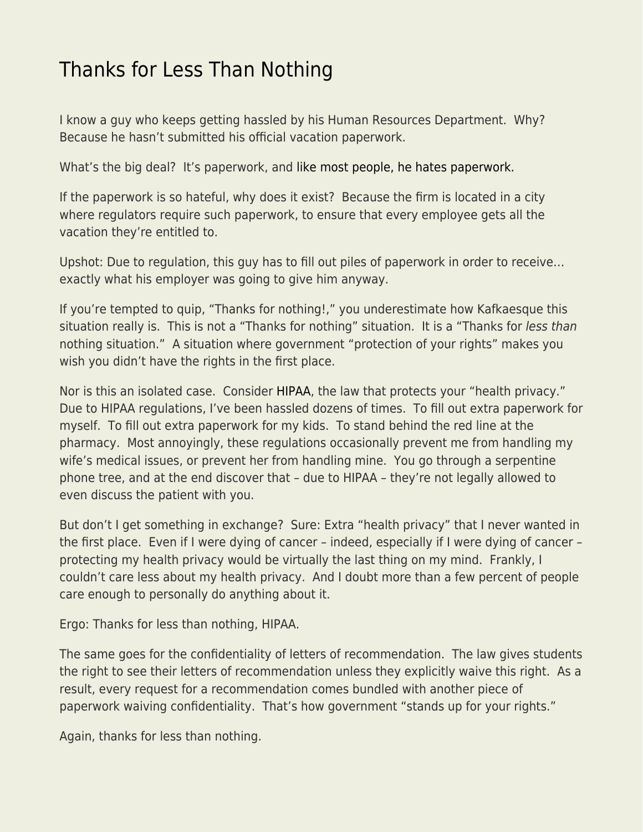## [Thanks for Less Than Nothing](https://everything-voluntary.com/thanks-for-less-than-nothing)

I know a guy who keeps getting hassled by his Human Resources Department. Why? Because he hasn't submitted his official vacation paperwork.

What's the big deal? It's paperwork, and [like most people, he hates paperwork.](https://www.econlib.org/archives/2017/05/the_behavioral_1.html)

If the paperwork is so hateful, why does it exist? Because the firm is located in a city where regulators require such paperwork, to ensure that every employee gets all the vacation they're entitled to.

Upshot: Due to regulation, this guy has to fill out piles of paperwork in order to receive… exactly what his employer was going to give him anyway.

If you're tempted to quip, "Thanks for nothing!," you underestimate how Kafkaesque this situation really is. This is not a "Thanks for nothing" situation. It is a "Thanks for less than nothing situation." A situation where government "protection of your rights" makes you wish you didn't have the rights in the first place.

Nor is this an isolated case. Consider [HIPAA,](https://en.wikipedia.org/wiki/Health_Insurance_Portability_and_Accountability_Act) the law that protects your "health privacy." Due to HIPAA regulations, I've been hassled dozens of times. To fill out extra paperwork for myself. To fill out extra paperwork for my kids. To stand behind the red line at the pharmacy. Most annoyingly, these regulations occasionally prevent me from handling my wife's medical issues, or prevent her from handling mine. You go through a serpentine phone tree, and at the end discover that – due to HIPAA – they're not legally allowed to even discuss the patient with you.

But don't I get something in exchange? Sure: Extra "health privacy" that I never wanted in the first place. Even if I were dying of cancer – indeed, especially if I were dying of cancer – protecting my health privacy would be virtually the last thing on my mind. Frankly, I couldn't care less about my health privacy. And I doubt more than a few percent of people care enough to personally do anything about it.

Ergo: Thanks for less than nothing, HIPAA.

The same goes for the confidentiality of letters of recommendation. The law gives students the right to see their letters of recommendation unless they explicitly waive this right. As a result, every request for a recommendation comes bundled with another piece of paperwork waiving confidentiality. That's how government "stands up for your rights."

Again, thanks for less than nothing.